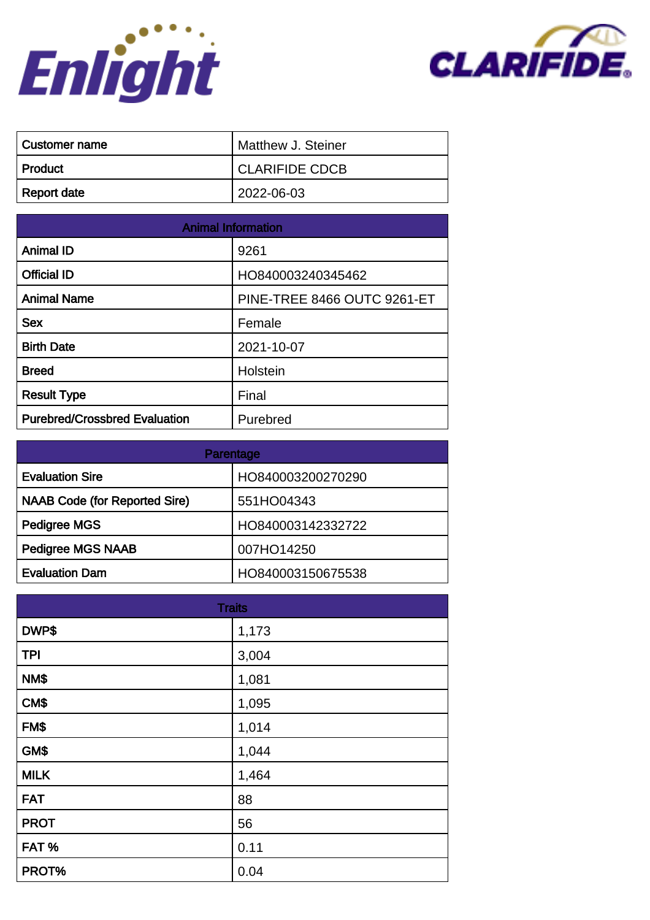



| ∣ Customer name | Matthew J. Steiner    |
|-----------------|-----------------------|
| ∣ Product       | <b>CLARIFIDE CDCB</b> |
| Report date     | 2022-06-03            |

| <b>Animal Information</b>            |                                    |
|--------------------------------------|------------------------------------|
| <b>Animal ID</b>                     | 9261                               |
| <b>Official ID</b>                   | HO840003240345462                  |
| <b>Animal Name</b>                   | <b>PINE-TREE 8466 OUTC 9261-ET</b> |
| <b>Sex</b>                           | Female                             |
| <b>Birth Date</b>                    | 2021-10-07                         |
| <b>Breed</b>                         | Holstein                           |
| <b>Result Type</b>                   | Final                              |
| <b>Purebred/Crossbred Evaluation</b> | Purebred                           |

| Parentage                            |                   |
|--------------------------------------|-------------------|
| <b>Evaluation Sire</b>               | HO840003200270290 |
| <b>NAAB Code (for Reported Sire)</b> | 551HO04343        |
| Pedigree MGS                         | HO840003142332722 |
| <b>Pedigree MGS NAAB</b>             | 007HO14250        |
| <b>Evaluation Dam</b>                | HO840003150675538 |

| <b>Traits</b> |       |
|---------------|-------|
| DWP\$         | 1,173 |
| <b>TPI</b>    | 3,004 |
| NM\$          | 1,081 |
| CM\$          | 1,095 |
| FM\$          | 1,014 |
| GM\$          | 1,044 |
| <b>MILK</b>   | 1,464 |
| <b>FAT</b>    | 88    |
| <b>PROT</b>   | 56    |
| FAT%          | 0.11  |
| PROT%         | 0.04  |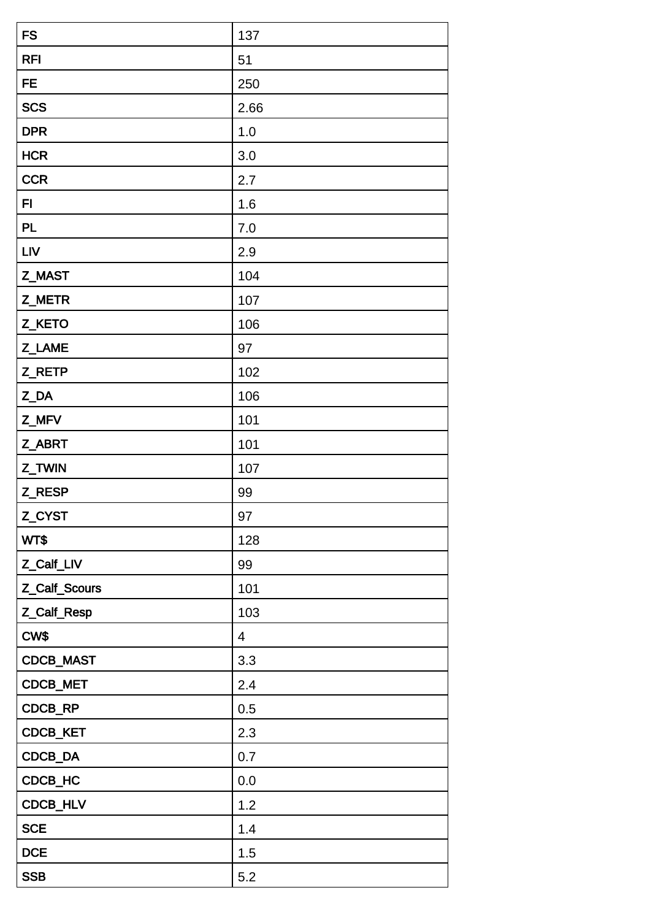| <b>FS</b>     | 137            |
|---------------|----------------|
| <b>RFI</b>    | 51             |
| <b>FE</b>     | 250            |
| <b>SCS</b>    | 2.66           |
| <b>DPR</b>    | 1.0            |
| <b>HCR</b>    | 3.0            |
| <b>CCR</b>    | 2.7            |
| FI            | 1.6            |
| PL            | 7.0            |
| <b>LIV</b>    | 2.9            |
| Z_MAST        | 104            |
| Z_METR        | 107            |
| Z_KETO        | 106            |
| Z_LAME        | 97             |
| Z_RETP        | 102            |
| Z_DA          | 106            |
| Z_MFV         | 101            |
| Z_ABRT        | 101            |
| Z_TWIN        | 107            |
| Z_RESP        | 99             |
| Z_CYST        | 97             |
| WT\$          | 128            |
| Z_Calf_LIV    | 99             |
| Z_Calf_Scours | 101            |
| Z_Calf_Resp   | 103            |
| CW\$          | $\overline{4}$ |
| CDCB_MAST     | 3.3            |
| CDCB_MET      | 2.4            |
| CDCB_RP       | 0.5            |
| CDCB_KET      | 2.3            |
| CDCB_DA       | 0.7            |
| CDCB_HC       | 0.0            |
| CDCB_HLV      | 1.2            |
| <b>SCE</b>    | 1.4            |
| <b>DCE</b>    | 1.5            |
| <b>SSB</b>    | 5.2            |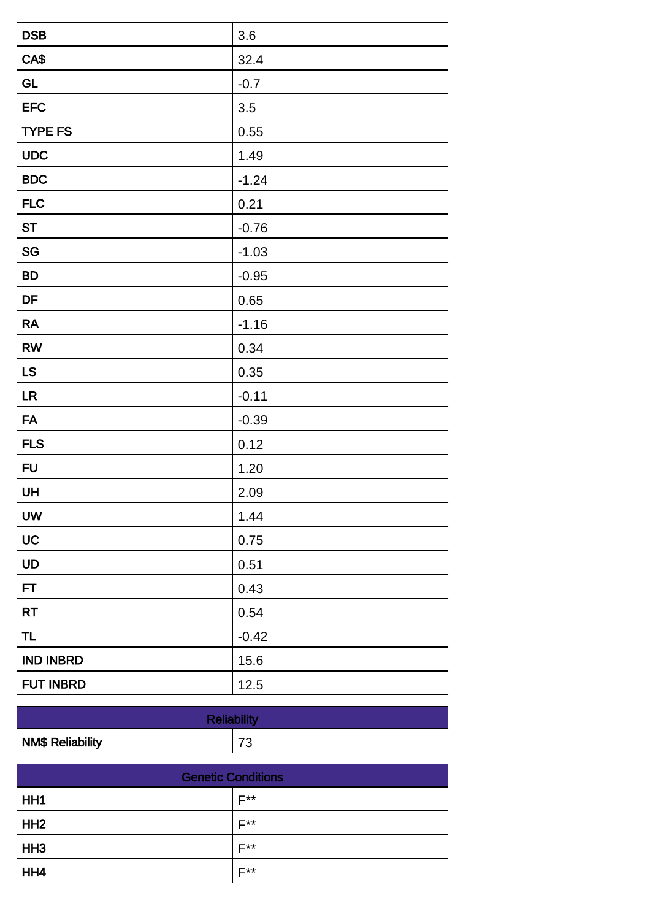| <b>DSB</b>       | 3.6     |
|------------------|---------|
| CA\$             | 32.4    |
| <b>GL</b>        | $-0.7$  |
| <b>EFC</b>       | 3.5     |
| <b>TYPE FS</b>   | 0.55    |
| <b>UDC</b>       | 1.49    |
| <b>BDC</b>       | $-1.24$ |
| <b>FLC</b>       | 0.21    |
| <b>ST</b>        | $-0.76$ |
| SG               | $-1.03$ |
| <b>BD</b>        | $-0.95$ |
| DF               | 0.65    |
| <b>RA</b>        | $-1.16$ |
| <b>RW</b>        | 0.34    |
| <b>LS</b>        | 0.35    |
| LR               | $-0.11$ |
| <b>FA</b>        | $-0.39$ |
| <b>FLS</b>       | 0.12    |
| <b>FU</b>        | 1.20    |
| UH               | 2.09    |
| <b>UW</b>        | 1.44    |
| UC               | 0.75    |
| UD               | 0.51    |
| FT               | 0.43    |
| <b>RT</b>        | 0.54    |
| <b>TL</b>        | $-0.42$ |
| <b>IND INBRD</b> | 15.6    |
| <b>FUT INBRD</b> | 12.5    |

| <b>Reliability</b>      |           |
|-------------------------|-----------|
| <b>NM\$ Reliability</b> | っへ<br>ں ו |

| <b>Genetic Conditions</b> |                  |
|---------------------------|------------------|
| HH <sub>1</sub>           | $F^{\star\star}$ |
| HH <sub>2</sub>           | $F^{\star\star}$ |
| HH <sub>3</sub>           | <b>E**</b>       |
| HH4                       | <b>E**</b>       |